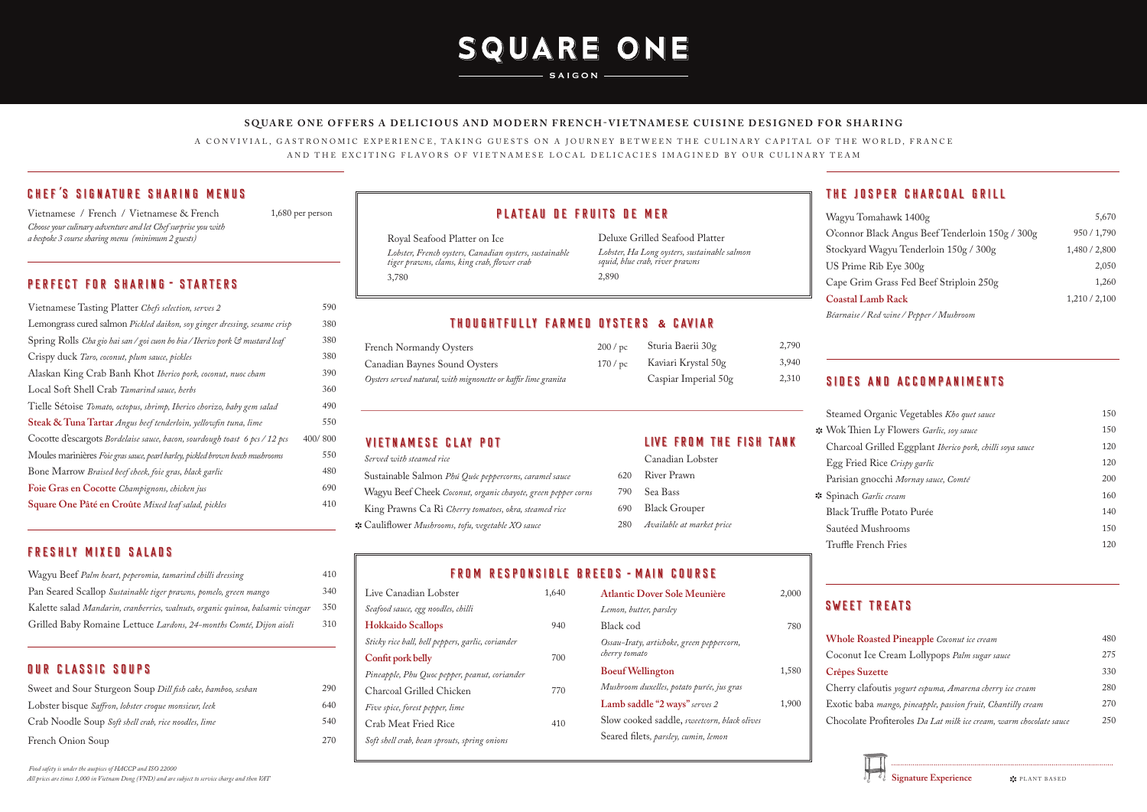# SQUARE ONE

**SAIGON** 

## PLATEAU DE FRUITS DE MER

Royal Seafood Platter on Ice *Lobster, French oysters, Canadian oysters, sustainable tiger prawns, clams, king crab, flower crab*  3,780

Deluxe Grilled Seafood Platter *Lobster, Ha Long oysters, sustainable salmon squid, blue crab, river prawns*  2,890

### THOUGHTFULLY FARMED OYSTERS & CAVIAR

### **SQUARE ONE OFFERS A DELICIOUS AND MODERN FRENCH-VIETNAMESE CUISINE DESIGNED FOR SHARING**

A CONVIVIAL, GASTRONOMIC EXPERIENCE, TAKING GUESTS ON A JOURNEY BETWEEN THE CULINARY CAPITAL OF THE WORLD, FRANCE AND THE EXCITING FLAVORS OF VIETNAMESE LOCAL DELICACIES IMAGINED BY OUR CULINARY TEAM

*Food safety is under the auspices of HACCP and ISO 22000 All prices are times 1,000 in Vietnam Dong (VND) and are subject to service charge and then VAT*

| 590     |
|---------|
| 380     |
| 380     |
| 380     |
| 390     |
| 360     |
| 490     |
| 550     |
| 400/800 |
| 550     |
| 480     |
| 690     |
| 410     |
|         |

- *Available at market price*
- Steamed <sup>(</sup> Egg Fried Parisian gn
- \* Spinach *G* Sautéed M

### FROM RESPONSIBLE BREEDS - MAIN COURSE

Vietnamese / French / Vietnamese & French *Choose your culinary adventure and let Chef surprise you with a bespoke 3 course sharing menu (minimum 2 guests)*

1,680 per person

### PERFECT FOR SHARING - STARTERS

| Wagyu Beef Palm heart, peperomia, tamarind chilli dressing                     | 410 |
|--------------------------------------------------------------------------------|-----|
| Pan Seared Scallop Sustainable tiger prawns, pomelo, green mango               | 340 |
| Kalette salad Mandarin, cranberries, walnuts, organic quinoa, balsamic vinegar | 350 |
| Grilled Baby Romaine Lettuce Lardons, 24-months Comté, Dijon aïoli             | 310 |

### OUR CLASSIC SOUPS

| Sweet and Sour Sturgeon Soup Dill fish cake, bamboo, sesban | 290 |
|-------------------------------------------------------------|-----|
| Lobster bisque Saffron, lobster croque monsieur, leek       | 640 |
| Crab Noodle Soup Soft shell crab, rice noodles, lime        | 540 |
| French Onion Soup                                           | 270 |

### FRESHLY MIXED SALADS

### VIETNAMESE CLAY POT LIVE FROM THE FISH TANK

| Served with steamed rice                                      |     |
|---------------------------------------------------------------|-----|
| Sustainable Salmon Phú Quôc peppercorns, caramel sauce        | 620 |
| Wagyu Beef Cheek Coconut, organic chayote, green pepper corns | 790 |
| King Prawns Ca Ri Cherry tomatoes, okra, steamed rice         | 690 |
| ** Cauliflower Mushrooms, tofu, vegetable XO sauce            | 280 |

|     | Canadian Lobster  |
|-----|-------------------|
|     | 620 River Prawn   |
| 790 | Sea Bass          |
|     | 690 Black Grouper |

| Live Canadian Lobster                             | 1,640 |   |
|---------------------------------------------------|-------|---|
| Seafood sauce, egg noodles, chilli                |       |   |
| <b>Hokkaido Scallops</b>                          | 940   |   |
| Sticky rice ball, bell peppers, garlic, coriander |       | I |
| Confit pork belly                                 | 700   | ι |
| Pineapple, Phu Quoc pepper, peanut, coriander     |       |   |
| Charcoal Grilled Chicken                          | 770   |   |
| Five spice, forest pepper, lime                   |       |   |
| Crab Meat Fried Rice                              | 410   |   |
| Soft shell crab, bean sprouts, spring onions      |       | ř |
|                                                   |       |   |

| Atlantic Dover Sole Meunière                               | 2,000 |
|------------------------------------------------------------|-------|
| Lemon, butter, parsley                                     |       |
| Black cod                                                  | 780   |
| Ossau-Iraty, artichoke, green peppercorn,<br>cherry tomato |       |
| <b>Boeuf Wellington</b>                                    | 1,580 |
| Mushroom duxelles, potato purée, jus gras                  |       |
| Lamb saddle "2 ways" serves 2                              | 1,900 |
| Slow cooked saddle, sweetcorn, black olives                |       |
| Seared filets, parsley, cumin, lemon                       |       |
|                                                            |       |

Wagyu To O'connor Stockyard US Prime Cape Grin

2,790

**Whole Ro** Coconut I **Crêpes Su** 

Cherry cla Chocolate

### THE JOSPER CHARCOAL GRILL

| Wagyu Tomahawk 1400g                             | 5,670         |
|--------------------------------------------------|---------------|
| O'connor Black Angus Beef Tenderloin 150g / 300g | 950 / 1,790   |
| Stockyard Wagyu Tenderloin 150g / 300g           | 1,480 / 2,800 |
| US Prime Rib Eye 300g                            | 2.050         |
| Cape Grim Grass Fed Beef Striploin 250g          | 1,260         |
| <b>Coastal Lamb Rack</b>                         | 1,210/2,100   |
| Béarnaise / Red wine / Pepper / Mushroom         |               |

### SIDES AND ACCOMPANIMENTS

| Steamed Organic Vegetables Kho quet sauce                 | 150 |
|-----------------------------------------------------------|-----|
| Wok Thien Ly Flowers Garlic, soy sauce                    | 150 |
| Charcoal Grilled Eggplant Iberico pork, chilli soya sauce | 120 |
| Egg Fried Rice Crispy garlic                              | 120 |
| Parisian gnocchi Mornay sauce, Comté                      | 200 |
| Spinach Garlic cream                                      | 160 |
| Black Truffle Potato Purée                                | 140 |
| Sautéed Mushrooms                                         | 150 |
| Truffle French Fries                                      | 120 |
|                                                           |     |

### SWEET TREATS

| 480 |
|-----|
| 275 |
| 330 |
| 280 |
| 270 |
| 250 |
|     |

Signature Experience  $\mathbf{\hat{x}}$  PLANT BASED

### CHEF'S SIGNATURE SHARING MENUS *'*

| <b>French Normandy Oysters</b>                                 | 200/pc | Sturia Baerii 30g    | 2,790 |
|----------------------------------------------------------------|--------|----------------------|-------|
| Canadian Baynes Sound Oysters                                  | 170/pc | Kaviari Krystal 50g  | 3,940 |
| Oysters served natural, with mignonette or kaffir lime granita |        | Caspiar Imperial 50g | 2,310 |